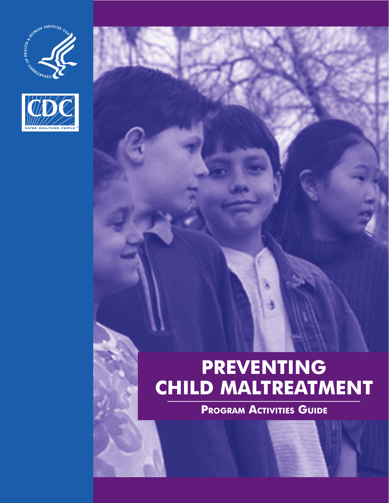



# **Preventing Child Maltreatment**

**Program Activities Guide**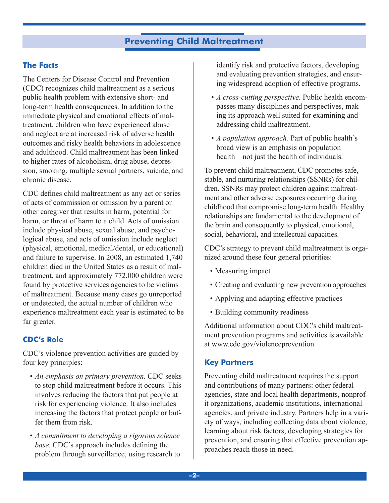# **Preventing Child Maltreatment**

# **The Facts**

The Centers for Disease Control and Prevention (CDC) recognizes child maltreatment as a serious public health problem with extensive short- and long-term health consequences. In addition to the immediate physical and emotional effects of maltreatment, children who have experienced abuse and neglect are at increased risk of adverse health outcomes and risky health behaviors in adolescence and adulthood. Child maltreatment has been linked to higher rates of alcoholism, drug abuse, depression, smoking, multiple sexual partners, suicide, and chronic disease.

CDC defines child maltreatment as any act or series of acts of commission or omission by a parent or other caregiver that results in harm, potential for harm, or threat of harm to a child. Acts of omission include physical abuse, sexual abuse, and psychological abuse, and acts of omission include neglect (physical, emotional, medical/dental, or educational) and failure to supervise. In 2008, an estimated 1,740 children died in the United States as a result of maltreatment, and approximately 772,000 children were found by protective services agencies to be victims of maltreatment. Because many cases go unreported or undetected, the actual number of children who experience maltreatment each year is estimated to be far greater.

# **CDC's Role**

CDC's violence prevention activities are guided by four key principles:

- *An emphasis on primary prevention.* CDC seeks to stop child maltreatment before it occurs. This involves reducing the factors that put people at risk for experiencing violence. It also includes increasing the factors that protect people or buffer them from risk.
- *A commitment to developing a rigorous science base.* CDC's approach includes defining the problem through surveillance, using research to

identify risk and protective factors, developing and evaluating prevention strategies, and ensuring widespread adoption of effective programs.

- *A cross-cutting perspective.* Public health encompasses many disciplines and perspectives, making its approach well suited for examining and addressing child maltreatment.
- *A population approach.* Part of public health's broad view is an emphasis on population health—not just the health of individuals.

To prevent child maltreatment, CDC promotes safe, stable, and nurturing relationships (SSNRs) for children. SSNRs may protect children against maltreatment and other adverse exposures occurring during childhood that compromise long-term health. Healthy relationships are fundamental to the development of the brain and consequently to physical, emotional, social, behavioral, and intellectual capacities.

CDC's strategy to prevent child maltreatment is organized around these four general priorities:

- Measuring impact
- Creating and evaluating new prevention approaches
- Applying and adapting effective practices
- Building community readiness

Additional information about CDC's child maltreatment prevention programs and activities is available at www.cdc.gov/violenceprevention.

# **Key Partners**

Preventing child maltreatment requires the support and contributions of many partners: other federal agencies, state and local health departments, nonprofit organizations, academic institutions, international agencies, and private industry. Partners help in a variety of ways, including collecting data about violence, learning about risk factors, developing strategies for prevention, and ensuring that effective prevention approaches reach those in need.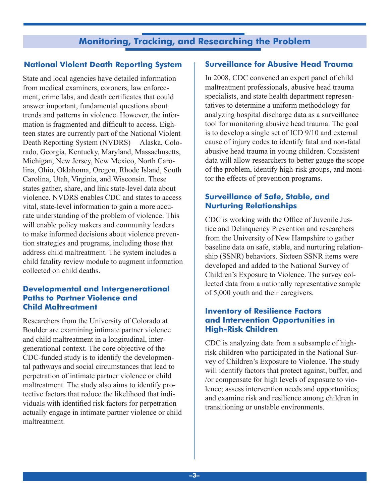# **Monitoring, Tracking, and Researching the Problem**

#### **National Violent Death Reporting System**

State and local agencies have detailed information from medical examiners, coroners, law enforcement, crime labs, and death certificates that could answer important, fundamental questions about trends and patterns in violence. However, the information is fragmented and difficult to access. Eighteen states are currently part of the National Violent Death Reporting System (NVDRS)— Alaska, Colorado, Georgia, Kentucky, Maryland, Massachusetts, Michigan, New Jersey, New Mexico, North Carolina, Ohio, Oklahoma, Oregon, Rhode Island, South Carolina, Utah, Virginia, and Wisconsin. These states gather, share, and link state-level data about violence. NVDRS enables CDC and states to access vital, state-level information to gain a more accurate understanding of the problem of violence. This will enable policy makers and community leaders to make informed decisions about violence prevention strategies and programs, including those that address child maltreatment. The system includes a child fatality review module to augment information collected on child deaths.

#### **Developmental and Intergenerational Paths to Partner Violence and Child Maltreatment**

Researchers from the University of Colorado at Boulder are examining intimate partner violence and child maltreatment in a longitudinal, intergenerational context. The core objective of the CDC-funded study is to identify the developmental pathways and social circumstances that lead to perpetration of intimate partner violence or child maltreatment. The study also aims to identify protective factors that reduce the likelihood that individuals with identified risk factors for perpetration actually engage in intimate partner violence or child maltreatment.

#### **Surveillance for Abusive Head Trauma**

In 2008, CDC convened an expert panel of child maltreatment professionals, abusive head trauma specialists, and state health department representatives to determine a uniform methodology for analyzing hospital discharge data as a surveillance tool for monitoring abusive head trauma. The goal is to develop a single set of ICD 9/10 and external cause of injury codes to identify fatal and non-fatal abusive head trauma in young children. Consistent data will allow researchers to better gauge the scope of the problem, identify high-risk groups, and monitor the effects of prevention programs.

## **Surveillance of Safe, Stable, and Nurturing Relationships**

CDC is working with the Office of Juvenile Justice and Delinquency Prevention and researchers from the University of New Hampshire to gather baseline data on safe, stable, and nurturing relationship (SSNR) behaviors. Sixteen SSNR items were developed and added to the National Survey of Children's Exposure to Violence. The survey collected data from a nationally representative sample of 5,000 youth and their caregivers.

## **Inventory of Resilience Factors and Intervention Opportunities in High-Risk Children**

CDC is analyzing data from a subsample of highrisk children who participated in the National Survey of Children's Exposure to Violence. The study will identify factors that protect against, buffer, and /or compensate for high levels of exposure to violence; assess intervention needs and opportunities; and examine risk and resilience among children in transitioning or unstable environments.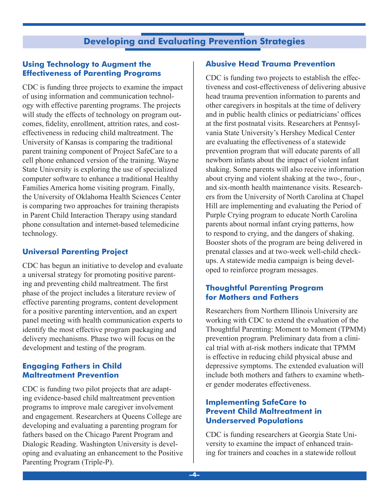# **Developing and Evaluating Prevention Strategies**

#### **Using Technology to Augment the Effectiveness of Parenting Programs**

CDC is funding three projects to examine the impact of using information and communication technology with effective parenting programs. The projects will study the effects of technology on program outcomes, fidelity, enrollment, attrition rates, and costeffectiveness in reducing child maltreatment. The University of Kansas is comparing the traditional parent training component of Project SafeCare to a cell phone enhanced version of the training. Wayne State University is exploring the use of specialized computer software to enhance a traditional Healthy Families America home visiting program. Finally, the University of Oklahoma Health Sciences Center is comparing two approaches for training therapists in Parent Child Interaction Therapy using standard phone consultation and internet-based telemedicine technology.

## **Universal Parenting Project**

CDC has begun an initiative to develop and evaluate a universal strategy for promoting positive parenting and preventing child maltreatment. The first phase of the project includes a literature review of effective parenting programs, content development for a positive parenting intervention, and an expert panel meeting with health communication experts to identify the most effective program packaging and delivery mechanisms. Phase two will focus on the development and testing of the program.

#### **Engaging Fathers in Child Maltreatment Prevention**

CDC is funding two pilot projects that are adapting evidence-based child maltreatment prevention programs to improve male caregiver involvement and engagement. Researchers at Queens College are developing and evaluating a parenting program for fathers based on the Chicago Parent Program and Dialogic Reading. Washington University is developing and evaluating an enhancement to the Positive Parenting Program (Triple-P).

#### **Abusive Head Trauma Prevention**

CDC is funding two projects to establish the effectiveness and cost-effectiveness of delivering abusive head trauma prevention information to parents and other caregivers in hospitals at the time of delivery and in public health clinics or pediatricians' offices at the first postnatal visits. Researchers at Pennsylvania State University's Hershey Medical Center are evaluating the effectiveness of a statewide prevention program that will educate parents of all newborn infants about the impact of violent infant shaking. Some parents will also receive information about crying and violent shaking at the two-, four-, and six-month health maintenance visits. Researchers from the University of North Carolina at Chapel Hill are implementing and evaluating the Period of Purple Crying program to educate North Carolina parents about normal infant crying patterns, how to respond to crying, and the dangers of shaking. Booster shots of the program are being delivered in prenatal classes and at two-week well-child checkups. A statewide media campaign is being developed to reinforce program messages.

#### **Thoughtful Parenting Program for Mothers and Fathers**

Researchers from Northern Illinois University are working with CDC to extend the evaluation of the Thoughtful Parenting: Moment to Moment (TPMM) prevention program. Preliminary data from a clinical trial with at-risk mothers indicate that TPMM is effective in reducing child physical abuse and depressive symptoms. The extended evaluation will include both mothers and fathers to examine whether gender moderates effectiveness.

#### **Implementing SafeCare to Prevent Child Maltreatment in Underserved Populations**

CDC is funding researchers at Georgia State University to examine the impact of enhanced training for trainers and coaches in a statewide rollout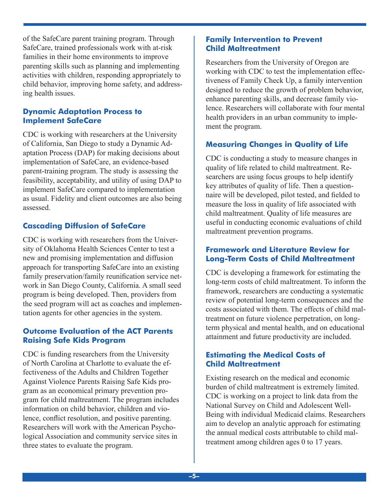of the SafeCare parent training program. Through SafeCare, trained professionals work with at-risk families in their home environments to improve parenting skills such as planning and implementing activities with children, responding appropriately to child behavior, improving home safety, and addressing health issues.

## **Dynamic Adaptation Process to Implement SafeCare**

CDC is working with researchers at the University of California, San Diego to study a Dynamic Adaptation Process (DAP) for making decisions about implementation of SafeCare, an evidence-based parent-training program. The study is assessing the feasibility, acceptability, and utility of using DAP to implement SafeCare compared to implementation as usual. Fidelity and client outcomes are also being assessed.

# **Cascading Diffusion of SafeCare**

CDC is working with researchers from the University of Oklahoma Health Sciences Center to test a new and promising implementation and diffusion approach for transporting SafeCare into an existing family preservation/family reunification service network in San Diego County, California. A small seed program is being developed. Then, providers from the seed program will act as coaches and implementation agents for other agencies in the system.

# **Outcome Evaluation of the ACT Parents Raising Safe Kids Program**

CDC is funding researchers from the University of North Carolina at Charlotte to evaluate the effectiveness of the Adults and Children Together Against Violence Parents Raising Safe Kids program as an economical primary prevention program for child maltreatment. The program includes information on child behavior, children and violence, conflict resolution, and positive parenting. Researchers will work with the American Psychological Association and community service sites in three states to evaluate the program.

## **Family Intervention to Prevent Child Maltreatment**

Researchers from the University of Oregon are working with CDC to test the implementation effectiveness of Family Check Up, a family intervention designed to reduce the growth of problem behavior, enhance parenting skills, and decrease family violence. Researchers will collaborate with four mental health providers in an urban community to implement the program.

# **Measuring Changes in Quality of Life**

CDC is conducting a study to measure changes in quality of life related to child maltreatment. Researchers are using focus groups to help identify key attributes of quality of life. Then a questionnaire will be developed, pilot tested, and fielded to measure the loss in quality of life associated with child maltreatment. Quality of life measures are useful in conducting economic evaluations of child maltreatment prevention programs.

# **Framework and Literature Review for Long-Term Costs of Child Maltreatment**

CDC is developing a framework for estimating the long-term costs of child maltreatment. To inform the framework, researchers are conducting a systematic review of potential long-term consequences and the costs associated with them. The effects of child maltreatment on future violence perpetration, on longterm physical and mental health, and on educational attainment and future productivity are included.

#### **Estimating the Medical Costs of Child Maltreatment**

Existing research on the medical and economic burden of child maltreatment is extremely limited. CDC is working on a project to link data from the National Survey on Child and Adolescent Well-Being with individual Medicaid claims. Researchers aim to develop an analytic approach for estimating the annual medical costs attributable to child maltreatment among children ages 0 to 17 years.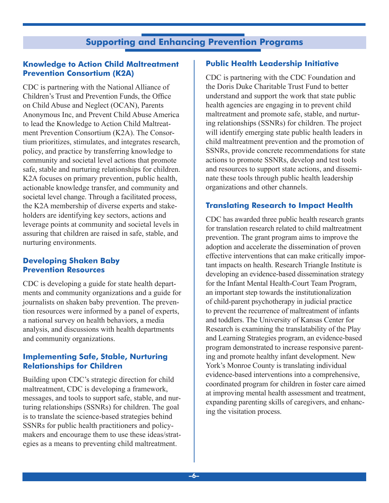# **Supporting and Enhancing Prevention Programs**

# **Knowledge to Action Child Maltreatment Prevention Consortium (K2A)**

CDC is partnering with the National Alliance of Children's Trust and Prevention Funds, the Office on Child Abuse and Neglect (OCAN), Parents Anonymous Inc, and Prevent Child Abuse America to lead the Knowledge to Action Child Maltreatment Prevention Consortium (K2A). The Consortium prioritizes, stimulates, and integrates research, policy, and practice by transferring knowledge to community and societal level actions that promote safe, stable and nurturing relationships for children. K2A focuses on primary prevention, public health, actionable knowledge transfer, and community and societal level change. Through a facilitated process, the K2A membership of diverse experts and stakeholders are identifying key sectors, actions and leverage points at community and societal levels in assuring that children are raised in safe, stable, and nurturing environments.

# **Developing Shaken Baby Prevention Resources**

CDC is developing a guide for state health departments and community organizations and a guide for journalists on shaken baby prevention. The prevention resources were informed by a panel of experts, a national survey on health behaviors, a media analysis, and discussions with health departments and community organizations.

# **Implementing Safe, Stable, Nurturing Relationships for Children**

Building upon CDC's strategic direction for child maltreatment, CDC is developing a framework, messages, and tools to support safe, stable, and nurturing relationships (SSNRs) for children. The goal is to translate the science-based strategies behind SSNRs for public health practitioners and policymakers and encourage them to use these ideas/strategies as a means to preventing child maltreatment.

## **Public Health Leadership Initiative**

CDC is partnering with the CDC Foundation and the Doris Duke Charitable Trust Fund to better understand and support the work that state public health agencies are engaging in to prevent child maltreatment and promote safe, stable, and nurturing relationships (SSNRs) for children. The project will identify emerging state public health leaders in child maltreatment prevention and the promotion of SSNRs, provide concrete recommendations for state actions to promote SSNRs, develop and test tools and resources to support state actions, and disseminate these tools through public health leadership organizations and other channels.

# **Translating Research to Impact Health**

CDC has awarded three public health research grants for translation research related to child maltreatment prevention. The grant program aims to improve the adoption and accelerate the dissemination of proven effective interventions that can make critically important impacts on health. Research Triangle Institute is developing an evidence-based dissemination strategy for the Infant Mental Health-Court Team Program, an important step towards the institutionalization of child-parent psychotherapy in judicial practice to prevent the recurrence of maltreatment of infants and toddlers. The University of Kansas Center for Research is examining the translatability of the Play and Learning Strategies program, an evidence-based program demonstrated to increase responsive parenting and promote healthy infant development. New York's Monroe County is translating individual evidence-based interventions into a comprehensive, coordinated program for children in foster care aimed at improving mental health assessment and treatment, expanding parenting skills of caregivers, and enhancing the visitation process.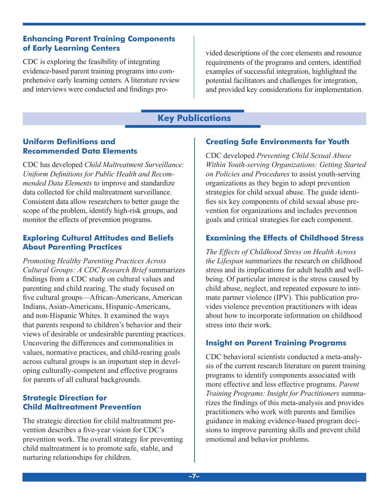#### **Enhancing Parent Training Components of Early Learning Centers**

CDC is exploring the feasibility of integrating evidence-based parent training programs into comprehensive early learning centers. A literature review and interviews were conducted and findings provided descriptions of the core elements and resource requirements of the programs and centers, identified examples of successful integration, highlighted the potential facilitators and challenges for integration, and provided key considerations for implementation.

# **Key Publications**

#### **Uniform Definitions and Recommended Data Elements**

CDC has developed *Child Maltreatment Surveillance: Uniform Definitions for Public Health and Recommended Data Elements* to improve and standardize data collected for child maltreatment surveillance. Consistent data allow researchers to better gauge the scope of the problem, identify high-risk groups, and monitor the effects of prevention programs.

#### **Exploring Cultural Attitudes and Beliefs About Parenting Practices**

*Promoting Healthy Parenting Practices Across Cultural Groups: A CDC Research Brief* summarizes findings from a CDC study on cultural values and parenting and child rearing. The study focused on five cultural groups—African-Americans, American Indians, Asian-Americans, Hispanic-Americans, and non-Hispanic Whites. It examined the ways that parents respond to children's behavior and their views of desirable or undesirable parenting practices. Uncovering the differences and commonalities in values, normative practices, and child-rearing goals across cultural groups is an important step in developing culturally-competent and effective programs for parents of all cultural backgrounds.

#### **Strategic Direction for Child Maltreatment Prevention**

The strategic direction for child maltreatment prevention describes a five-year vision for CDC's prevention work. The overall strategy for preventing child maltreatment is to promote safe, stable, and nurturing relationships for children.

#### **Creating Safe Environments for Youth**

CDC developed *Preventing Child Sexual Abuse Within Youth-serving Organizations: Getting Started on Policies and Procedures* to assist youth-serving organizations as they begin to adopt prevention strategies for child sexual abuse. The guide identifies six key components of child sexual abuse prevention for organizations and includes prevention goals and critical strategies for each component.

#### **Examining the Effects of Childhood Stress**

*The Effects of Childhood Stress on Health Across the Lifespan* summarizes the research on childhood stress and its implications for adult health and wellbeing. Of particular interest is the stress caused by child abuse, neglect, and repeated exposure to intimate partner violence (IPV). This publication provides violence prevention practitioners with ideas about how to incorporate information on childhood stress into their work.

# **Insight on Parent Training Programs**

CDC behavioral scientists conducted a meta-analysis of the current research literature on parent training programs to identify components associated with more effective and less effective programs. *Parent Training Programs: Insight for Practitioners* summarizes the findings of this meta-analysis and provides practitioners who work with parents and families guidance in making evidence-based program decisions to improve parenting skills and prevent child emotional and behavior problems.